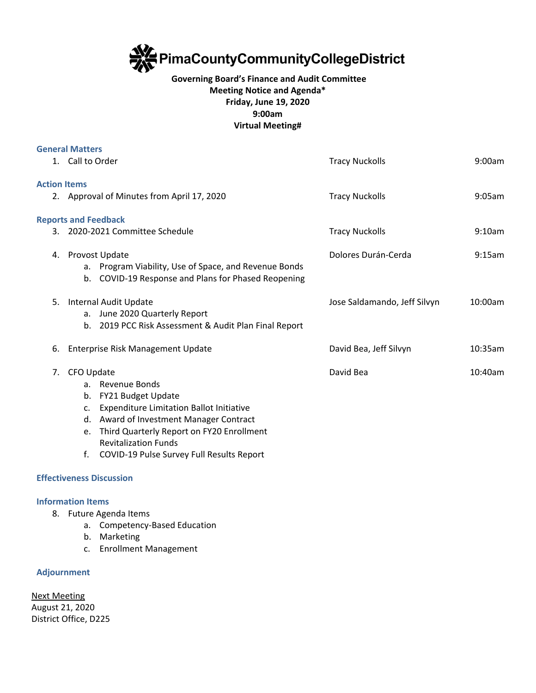

## **Governing Board's Finance and Audit Committee Meeting Notice and Agenda\* Friday, June 19, 2020 9:00am Virtual Meeting#**

|                     | <b>General Matters</b>                               |                                                                                                                                                                                                                                                            |                              |            |
|---------------------|------------------------------------------------------|------------------------------------------------------------------------------------------------------------------------------------------------------------------------------------------------------------------------------------------------------------|------------------------------|------------|
|                     | 1. Call to Order                                     |                                                                                                                                                                                                                                                            | <b>Tracy Nuckolls</b>        | 9:00am     |
| <b>Action Items</b> |                                                      |                                                                                                                                                                                                                                                            |                              |            |
|                     |                                                      | 2. Approval of Minutes from April 17, 2020                                                                                                                                                                                                                 | <b>Tracy Nuckolls</b>        | 9:05am     |
|                     |                                                      | <b>Reports and Feedback</b>                                                                                                                                                                                                                                |                              |            |
|                     | 3. 2020-2021 Committee Schedule                      |                                                                                                                                                                                                                                                            | <b>Tracy Nuckolls</b>        | 9:10am     |
|                     |                                                      | 4. Provost Update<br>a. Program Viability, Use of Space, and Revenue Bonds<br>b. COVID-19 Response and Plans for Phased Reopening                                                                                                                          | Dolores Durán-Cerda          | 9:15am     |
|                     |                                                      | 5. Internal Audit Update<br>a. June 2020 Quarterly Report<br>b. 2019 PCC Risk Assessment & Audit Plan Final Report                                                                                                                                         | Jose Saldamando, Jeff Silvyn | 10:00am    |
| 6.                  |                                                      | Enterprise Risk Management Update                                                                                                                                                                                                                          | David Bea, Jeff Silvyn       | 10:35am    |
| 7.                  | CFO Update<br>b.<br>$\mathsf{C}$ .<br>d.<br>e.<br>f. | a. Revenue Bonds<br>FY21 Budget Update<br><b>Expenditure Limitation Ballot Initiative</b><br>Award of Investment Manager Contract<br>Third Quarterly Report on FY20 Enrollment<br><b>Revitalization Funds</b><br>COVID-19 Pulse Survey Full Results Report | David Bea                    | $10:40$ am |
|                     |                                                      | <b>Effectiveness Discussion</b>                                                                                                                                                                                                                            |                              |            |

## **Information Items**

- 8. Future Agenda Items
	- a. Competency-Based Education
	- b. Marketing
	- c. Enrollment Management

## **Adjournment**

Next Meeting August 21, 2020 District Office, D225